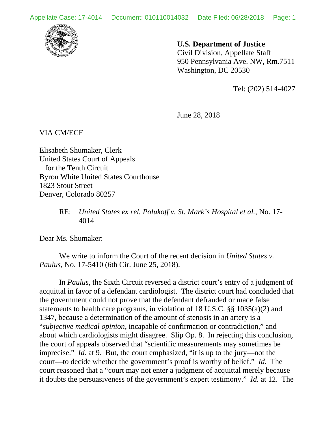

## **U.S. Department of Justice**

 Civil Division, Appellate Staff 950 Pennsylvania Ave. NW, Rm.7511 Washington, DC 20530

Tel: (202) 514-4027

June 28, 2018

VIA CM/ECF

Elisabeth Shumaker, Clerk United States Court of Appeals for the Tenth Circuit Byron White United States Courthouse 1823 Stout Street Denver, Colorado 80257

> RE: *United States ex rel. Polukoff v. St. Mark's Hospital et al.*, No. 17- 4014

Dear Ms. Shumaker:

 We write to inform the Court of the recent decision in *United States v. Paulus*, No. 17-5410 (6th Cir. June 25, 2018).

In *Paulus*, the Sixth Circuit reversed a district court's entry of a judgment of acquittal in favor of a defendant cardiologist. The district court had concluded that the government could not prove that the defendant defrauded or made false statements to health care programs, in violation of 18 U.S.C. §§ 1035(a)(2) and 1347, because a determination of the amount of stenosis in an artery is a "*subjective medical opinion*, incapable of confirmation or contradiction," and about which cardiologists might disagree. Slip Op. 8. In rejecting this conclusion, the court of appeals observed that "scientific measurements may sometimes be imprecise." *Id.* at 9. But, the court emphasized, "it is up to the jury—not the court—to decide whether the government's proof is worthy of belief." *Id.* The court reasoned that a "court may not enter a judgment of acquittal merely because it doubts the persuasiveness of the government's expert testimony." *Id.* at 12. The